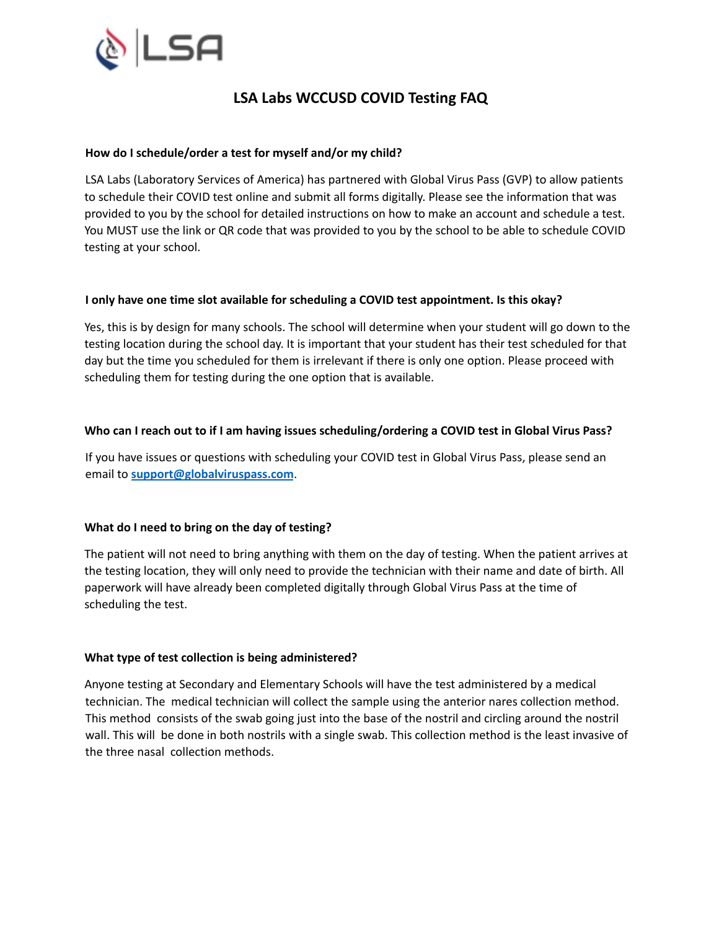

# **LSA Labs WCCUSD COVID Testing FAQ**

## **How do I schedule/order a test for myself and/or my child?**

LSA Labs (Laboratory Services of America) has partnered with Global Virus Pass (GVP) to allow patients to schedule their COVID test online and submit all forms digitally. Please see the information that was provided to you by the school for detailed instructions on how to make an account and schedule a test. You MUST use the link or QR code that was provided to you by the school to be able to schedule COVID testing at your school.

## **I only have one time slot available for scheduling a COVID test appointment. Is this okay?**

Yes, this is by design for many schools. The school will determine when your student will go down to the testing location during the school day. It is important that your student has their test scheduled for that day but the time you scheduled for them is irrelevant if there is only one option. Please proceed with scheduling them for testing during the one option that is available.

## Who can I reach out to if I am having issues scheduling/ordering a COVID test in Global Virus Pass?

If you have issues or questions with scheduling your COVID test in Global Virus Pass, please send an email to **support@globalviruspass.com**.

#### **What do I need to bring on the day of testing?**

The patient will not need to bring anything with them on the day of testing. When the patient arrives at the testing location, they will only need to provide the technician with their name and date of birth. All paperwork will have already been completed digitally through Global Virus Pass at the time of scheduling the test.

# **What type of test collection is being administered?**

Anyone testing at Secondary and Elementary Schools will have the test administered by a medical technician. The medical technician will collect the sample using the anterior nares collection method. This method consists of the swab going just into the base of the nostril and circling around the nostril wall. This will be done in both nostrils with a single swab. This collection method is the least invasive of the three nasal collection methods.